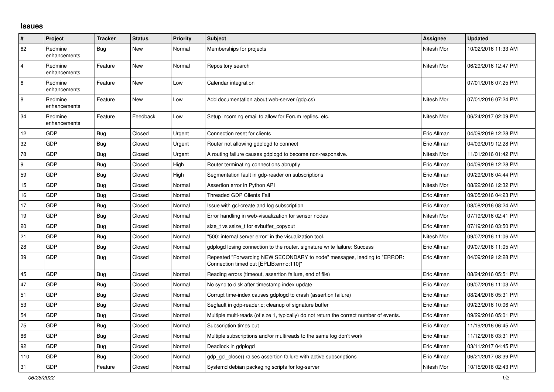## **Issues**

| ∦              | Project                 | <b>Tracker</b> | <b>Status</b> | <b>Priority</b> | <b>Subject</b>                                                                                                      | Assignee    | <b>Updated</b>      |
|----------------|-------------------------|----------------|---------------|-----------------|---------------------------------------------------------------------------------------------------------------------|-------------|---------------------|
| 62             | Redmine<br>enhancements | Bug            | New           | Normal          | Memberships for projects                                                                                            | Nitesh Mor  | 10/02/2016 11:33 AM |
| $\overline{4}$ | Redmine<br>enhancements | Feature        | <b>New</b>    | Normal          | Repository search                                                                                                   | Nitesh Mor  | 06/29/2016 12:47 PM |
| 6              | Redmine<br>enhancements | Feature        | <b>New</b>    | Low             | Calendar integration                                                                                                |             | 07/01/2016 07:25 PM |
| 8              | Redmine<br>enhancements | Feature        | <b>New</b>    | Low             | Add documentation about web-server (gdp.cs)                                                                         | Nitesh Mor  | 07/01/2016 07:24 PM |
| 34             | Redmine<br>enhancements | Feature        | Feedback      | Low             | Setup incoming email to allow for Forum replies, etc.                                                               | Nitesh Mor  | 06/24/2017 02:09 PM |
| 12             | GDP                     | Bug            | Closed        | Urgent          | Connection reset for clients                                                                                        | Eric Allman | 04/09/2019 12:28 PM |
| 32             | GDP                     | <b>Bug</b>     | Closed        | Urgent          | Router not allowing gdplogd to connect                                                                              | Eric Allman | 04/09/2019 12:28 PM |
| 78             | GDP                     | <b>Bug</b>     | Closed        | Urgent          | A routing failure causes gdplogd to become non-responsive.                                                          | Nitesh Mor  | 11/01/2016 01:42 PM |
| <u>g</u>       | GDP                     | Bug            | Closed        | High            | Router terminating connections abruptly                                                                             | Eric Allman | 04/09/2019 12:28 PM |
| 59             | GDP                     | Bug            | Closed        | High            | Segmentation fault in gdp-reader on subscriptions                                                                   | Eric Allman | 09/29/2016 04:44 PM |
| 15             | GDP                     | <b>Bug</b>     | Closed        | Normal          | Assertion error in Python API                                                                                       | Nitesh Mor  | 08/22/2016 12:32 PM |
| 16             | GDP                     | Bug            | Closed        | Normal          | <b>Threaded GDP Clients Fail</b>                                                                                    | Eric Allman | 09/05/2016 04:23 PM |
| 17             | GDP                     | Bug            | Closed        | Normal          | Issue with gcl-create and log subscription                                                                          | Eric Allman | 08/08/2016 08:24 AM |
| 19             | GDP                     | <b>Bug</b>     | Closed        | Normal          | Error handling in web-visualization for sensor nodes                                                                | Nitesh Mor  | 07/19/2016 02:41 PM |
| 20             | GDP                     | <b>Bug</b>     | Closed        | Normal          | size t vs ssize t for evbuffer copyout                                                                              | Eric Allman | 07/19/2016 03:50 PM |
| 21             | GDP                     | Bug            | Closed        | Normal          | "500: internal server error" in the visualization tool.                                                             | Nitesh Mor  | 09/07/2016 11:06 AM |
| 28             | GDP                     | <b>Bug</b>     | Closed        | Normal          | gdplogd losing connection to the router. signature write failure: Success                                           | Eric Allman | 09/07/2016 11:05 AM |
| 39             | GDP                     | Bug            | Closed        | Normal          | Repeated "Forwarding NEW SECONDARY to node" messages, leading to "ERROR:<br>Connection timed out [EPLIB:errno:110]" | Eric Allman | 04/09/2019 12:28 PM |
| 45             | GDP                     | Bug            | Closed        | Normal          | Reading errors (timeout, assertion failure, end of file)                                                            | Eric Allman | 08/24/2016 05:51 PM |
| 47             | GDP                     | <b>Bug</b>     | Closed        | Normal          | No sync to disk after timestamp index update                                                                        | Eric Allman | 09/07/2016 11:03 AM |
| 51             | GDP                     | Bug            | Closed        | Normal          | Corrupt time-index causes gdplogd to crash (assertion failure)                                                      | Eric Allman | 08/24/2016 05:31 PM |
| 53             | GDP                     | Bug            | Closed        | Normal          | Segfault in gdp-reader.c; cleanup of signature buffer                                                               | Eric Allman | 09/23/2016 10:06 AM |
| 54             | GDP                     | <b>Bug</b>     | Closed        | Normal          | Multiple multi-reads (of size 1, typically) do not return the correct number of events.                             | Eric Allman | 09/29/2016 05:01 PM |
| 75             | GDP                     | <b>Bug</b>     | Closed        | Normal          | Subscription times out                                                                                              | Eric Allman | 11/19/2016 06:45 AM |
| 86             | GDP                     | Bug            | Closed        | Normal          | Multiple subscriptions and/or multireads to the same log don't work                                                 | Eric Allman | 11/12/2016 03:31 PM |
| 92             | GDP                     | Bug            | Closed        | Normal          | Deadlock in gdplogd                                                                                                 | Eric Allman | 03/11/2017 04:45 PM |
| 110            | GDP                     | Bug            | Closed        | Normal          | gdp gcl close() raises assertion failure with active subscriptions                                                  | Eric Allman | 06/21/2017 08:39 PM |
| 31             | GDP                     | Feature        | Closed        | Normal          | Systemd debian packaging scripts for log-server                                                                     | Nitesh Mor  | 10/15/2016 02:43 PM |